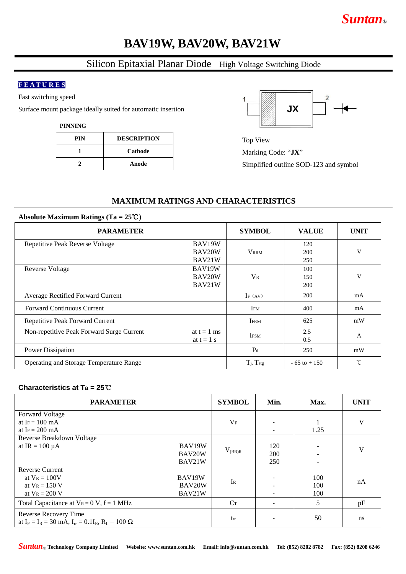# *Suntan***®**

## **BAV19W, BAV20W, BAV21W**

## Silicon Epitaxial Planar Diode High Voltage Switching Diode

#### **F E A T U R E S**

Fast switching speed

Surface mount package ideally suited for automatic insertion

**PINNING**

| PIN | <b>DESCRIPTION</b> |
|-----|--------------------|
|     | Cathode            |
|     | Anode              |



Top View Marking Code: "**JX**" Simplified outline SOD-123 and symbol

### **MAXIMUM RATINGS AND CHARACTERISTICS**

#### **Absolute Maximum Ratings (Ta = 25**℃**)**

| <b>PARAMETER</b>                          | <b>SYMBOL</b> | <b>VALUE</b>             | <b>UNIT</b>     |             |  |
|-------------------------------------------|---------------|--------------------------|-----------------|-------------|--|
| Repetitive Peak Reverse Voltage           | BAV19W        |                          | 120             |             |  |
|                                           | BAV20W        | <b>VRRM</b>              | 200             | V           |  |
|                                           | BAV21W        |                          | 250             |             |  |
| <b>Reverse Voltage</b>                    | BAV19W        |                          | 100             |             |  |
|                                           | BAV20W        | $V_{R}$                  | 150             | V           |  |
|                                           | BAV21W        |                          | 200             |             |  |
| Average Rectified Forward Current         |               | IF $(AV)$                | 200             | mA          |  |
| <b>Forward Continuous Current</b>         |               | IFM                      | 400             | mA          |  |
| Repetitive Peak Forward Current           |               | <b>IFRM</b>              | 625             | mW          |  |
| Non-repetitive Peak Forward Surge Current | at $t = 1$ ms | <b>IFSM</b>              | 2.5             | A           |  |
|                                           | at $t = 1$ s  |                          | 0.5             |             |  |
| Power Dissipation                         |               | $P_d$                    | 250             | mW          |  |
| Operating and Storage Temperature Range   |               | $T_j$ , $T_{\text{stg}}$ | $-65$ to $+150$ | $^{\circ}C$ |  |

#### **Characteristics at Ta = 25**℃

| <b>PARAMETER</b>                                                                        | <b>SYMBOL</b> | Min.        | Max.                  | <b>UNIT</b> |    |
|-----------------------------------------------------------------------------------------|---------------|-------------|-----------------------|-------------|----|
| <b>Forward Voltage</b>                                                                  |               |             |                       |             |    |
| at I $_F = 100$ mA                                                                      |               | $V_{\rm F}$ |                       |             | V  |
| at $Ir = 200$ mA                                                                        |               |             | $\tilde{\phantom{a}}$ | 1.25        |    |
| Reverse Breakdown Voltage                                                               |               |             |                       |             |    |
| at IR = $100 \mu A$                                                                     | BAV19W        | $V_{(BR)R}$ | 120                   |             | V  |
|                                                                                         | BAV20W        |             | 200                   |             |    |
|                                                                                         | BAV21W        |             | 250                   |             |    |
| <b>Reverse Current</b>                                                                  |               |             |                       |             |    |
| at $V_R = 100V$                                                                         | BAV19W        | IR          |                       | 100         | nA |
| at $V_R = 150 V$                                                                        | BAV20W        |             |                       | 100         |    |
| at $V_R = 200 V$                                                                        | BAV21W        |             |                       | 100         |    |
| Total Capacitance at $V_R = 0 V$ , $f = 1 MHz$                                          |               | $C_T$       |                       | 5           | pF |
| Reverse Recovery Time<br>at $I_F = I_R = 30$ mA, $I_{rr} = 0.1I_R$ , $R_L = 100 \Omega$ |               | trr         |                       | 50          | ns |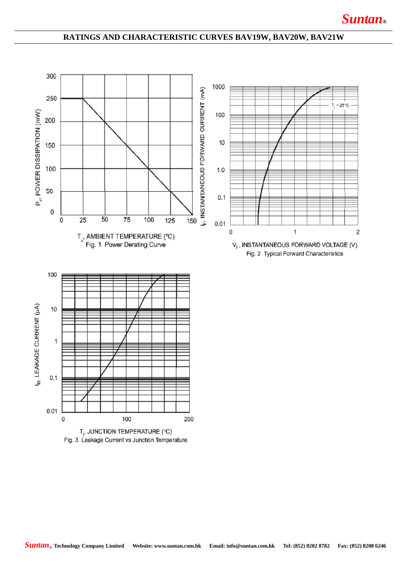### **RATINGS AND CHARACTERISTIC CURVES BAV19W, BAV20W, BAV21W**